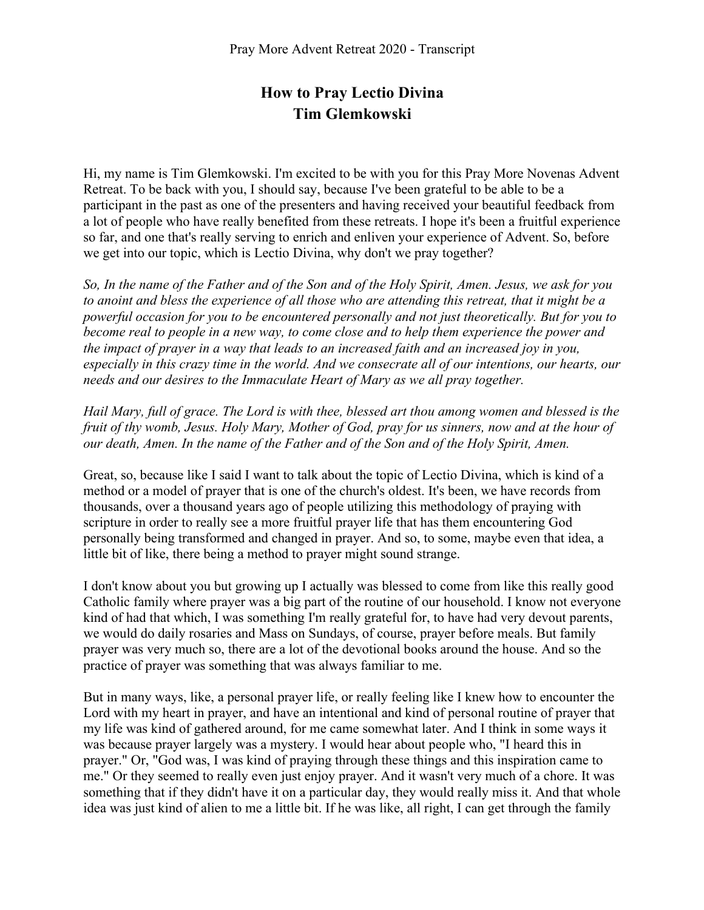## **How to Pray Lectio Divina Tim Glemkowski**

Hi, my name is Tim Glemkowski. I'm excited to be with you for this Pray More Novenas Advent Retreat. To be back with you, I should say, because I've been grateful to be able to be a participant in the past as one of the presenters and having received your beautiful feedback from a lot of people who have really benefited from these retreats. I hope it's been a fruitful experience so far, and one that's really serving to enrich and enliven your experience of Advent. So, before we get into our topic, which is Lectio Divina, why don't we pray together?

*So, In the name of the Father and of the Son and of the Holy Spirit, Amen. Jesus, we ask for you to anoint and bless the experience of all those who are attending this retreat, that it might be a powerful occasion for you to be encountered personally and not just theoretically. But for you to become real to people in a new way, to come close and to help them experience the power and the impact of prayer in a way that leads to an increased faith and an increased joy in you, especially in this crazy time in the world. And we consecrate all of our intentions, our hearts, our needs and our desires to the Immaculate Heart of Mary as we all pray together.* 

*Hail Mary, full of grace. The Lord is with thee, blessed art thou among women and blessed is the fruit of thy womb, Jesus. Holy Mary, Mother of God, pray for us sinners, now and at the hour of our death, Amen. In the name of the Father and of the Son and of the Holy Spirit, Amen.* 

Great, so, because like I said I want to talk about the topic of Lectio Divina, which is kind of a method or a model of prayer that is one of the church's oldest. It's been, we have records from thousands, over a thousand years ago of people utilizing this methodology of praying with scripture in order to really see a more fruitful prayer life that has them encountering God personally being transformed and changed in prayer. And so, to some, maybe even that idea, a little bit of like, there being a method to prayer might sound strange.

I don't know about you but growing up I actually was blessed to come from like this really good Catholic family where prayer was a big part of the routine of our household. I know not everyone kind of had that which, I was something I'm really grateful for, to have had very devout parents, we would do daily rosaries and Mass on Sundays, of course, prayer before meals. But family prayer was very much so, there are a lot of the devotional books around the house. And so the practice of prayer was something that was always familiar to me.

But in many ways, like, a personal prayer life, or really feeling like I knew how to encounter the Lord with my heart in prayer, and have an intentional and kind of personal routine of prayer that my life was kind of gathered around, for me came somewhat later. And I think in some ways it was because prayer largely was a mystery. I would hear about people who, "I heard this in prayer." Or, "God was, I was kind of praying through these things and this inspiration came to me." Or they seemed to really even just enjoy prayer. And it wasn't very much of a chore. It was something that if they didn't have it on a particular day, they would really miss it. And that whole idea was just kind of alien to me a little bit. If he was like, all right, I can get through the family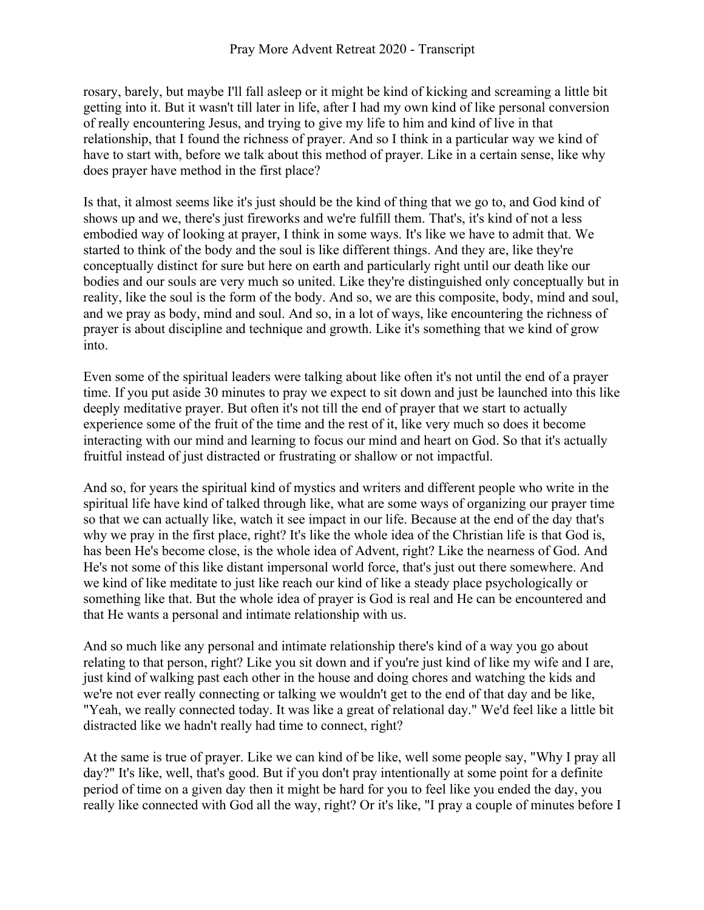rosary, barely, but maybe I'll fall asleep or it might be kind of kicking and screaming a little bit getting into it. But it wasn't till later in life, after I had my own kind of like personal conversion of really encountering Jesus, and trying to give my life to him and kind of live in that relationship, that I found the richness of prayer. And so I think in a particular way we kind of have to start with, before we talk about this method of prayer. Like in a certain sense, like why does prayer have method in the first place?

Is that, it almost seems like it's just should be the kind of thing that we go to, and God kind of shows up and we, there's just fireworks and we're fulfill them. That's, it's kind of not a less embodied way of looking at prayer, I think in some ways. It's like we have to admit that. We started to think of the body and the soul is like different things. And they are, like they're conceptually distinct for sure but here on earth and particularly right until our death like our bodies and our souls are very much so united. Like they're distinguished only conceptually but in reality, like the soul is the form of the body. And so, we are this composite, body, mind and soul, and we pray as body, mind and soul. And so, in a lot of ways, like encountering the richness of prayer is about discipline and technique and growth. Like it's something that we kind of grow into.

Even some of the spiritual leaders were talking about like often it's not until the end of a prayer time. If you put aside 30 minutes to pray we expect to sit down and just be launched into this like deeply meditative prayer. But often it's not till the end of prayer that we start to actually experience some of the fruit of the time and the rest of it, like very much so does it become interacting with our mind and learning to focus our mind and heart on God. So that it's actually fruitful instead of just distracted or frustrating or shallow or not impactful.

And so, for years the spiritual kind of mystics and writers and different people who write in the spiritual life have kind of talked through like, what are some ways of organizing our prayer time so that we can actually like, watch it see impact in our life. Because at the end of the day that's why we pray in the first place, right? It's like the whole idea of the Christian life is that God is, has been He's become close, is the whole idea of Advent, right? Like the nearness of God. And He's not some of this like distant impersonal world force, that's just out there somewhere. And we kind of like meditate to just like reach our kind of like a steady place psychologically or something like that. But the whole idea of prayer is God is real and He can be encountered and that He wants a personal and intimate relationship with us.

And so much like any personal and intimate relationship there's kind of a way you go about relating to that person, right? Like you sit down and if you're just kind of like my wife and I are, just kind of walking past each other in the house and doing chores and watching the kids and we're not ever really connecting or talking we wouldn't get to the end of that day and be like, "Yeah, we really connected today. It was like a great of relational day." We'd feel like a little bit distracted like we hadn't really had time to connect, right?

At the same is true of prayer. Like we can kind of be like, well some people say, "Why I pray all day?" It's like, well, that's good. But if you don't pray intentionally at some point for a definite period of time on a given day then it might be hard for you to feel like you ended the day, you really like connected with God all the way, right? Or it's like, "I pray a couple of minutes before I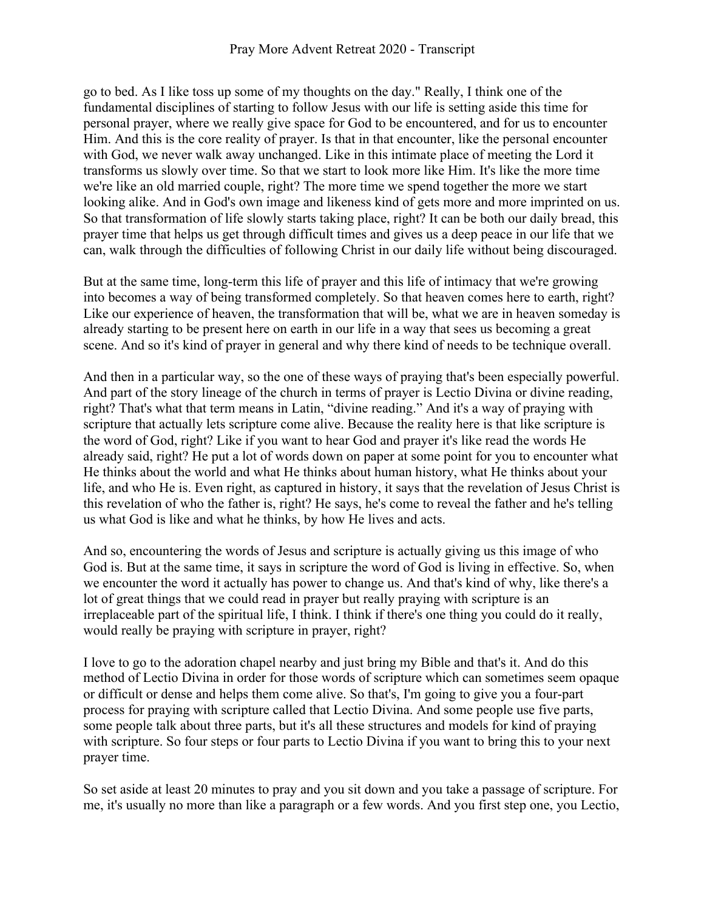go to bed. As I like toss up some of my thoughts on the day." Really, I think one of the fundamental disciplines of starting to follow Jesus with our life is setting aside this time for personal prayer, where we really give space for God to be encountered, and for us to encounter Him. And this is the core reality of prayer. Is that in that encounter, like the personal encounter with God, we never walk away unchanged. Like in this intimate place of meeting the Lord it transforms us slowly over time. So that we start to look more like Him. It's like the more time we're like an old married couple, right? The more time we spend together the more we start looking alike. And in God's own image and likeness kind of gets more and more imprinted on us. So that transformation of life slowly starts taking place, right? It can be both our daily bread, this prayer time that helps us get through difficult times and gives us a deep peace in our life that we can, walk through the difficulties of following Christ in our daily life without being discouraged.

But at the same time, long-term this life of prayer and this life of intimacy that we're growing into becomes a way of being transformed completely. So that heaven comes here to earth, right? Like our experience of heaven, the transformation that will be, what we are in heaven someday is already starting to be present here on earth in our life in a way that sees us becoming a great scene. And so it's kind of prayer in general and why there kind of needs to be technique overall.

And then in a particular way, so the one of these ways of praying that's been especially powerful. And part of the story lineage of the church in terms of prayer is Lectio Divina or divine reading, right? That's what that term means in Latin, "divine reading." And it's a way of praying with scripture that actually lets scripture come alive. Because the reality here is that like scripture is the word of God, right? Like if you want to hear God and prayer it's like read the words He already said, right? He put a lot of words down on paper at some point for you to encounter what He thinks about the world and what He thinks about human history, what He thinks about your life, and who He is. Even right, as captured in history, it says that the revelation of Jesus Christ is this revelation of who the father is, right? He says, he's come to reveal the father and he's telling us what God is like and what he thinks, by how He lives and acts.

And so, encountering the words of Jesus and scripture is actually giving us this image of who God is. But at the same time, it says in scripture the word of God is living in effective. So, when we encounter the word it actually has power to change us. And that's kind of why, like there's a lot of great things that we could read in prayer but really praying with scripture is an irreplaceable part of the spiritual life, I think. I think if there's one thing you could do it really, would really be praying with scripture in prayer, right?

I love to go to the adoration chapel nearby and just bring my Bible and that's it. And do this method of Lectio Divina in order for those words of scripture which can sometimes seem opaque or difficult or dense and helps them come alive. So that's, I'm going to give you a four-part process for praying with scripture called that Lectio Divina. And some people use five parts, some people talk about three parts, but it's all these structures and models for kind of praying with scripture. So four steps or four parts to Lectio Divina if you want to bring this to your next prayer time.

So set aside at least 20 minutes to pray and you sit down and you take a passage of scripture. For me, it's usually no more than like a paragraph or a few words. And you first step one, you Lectio,